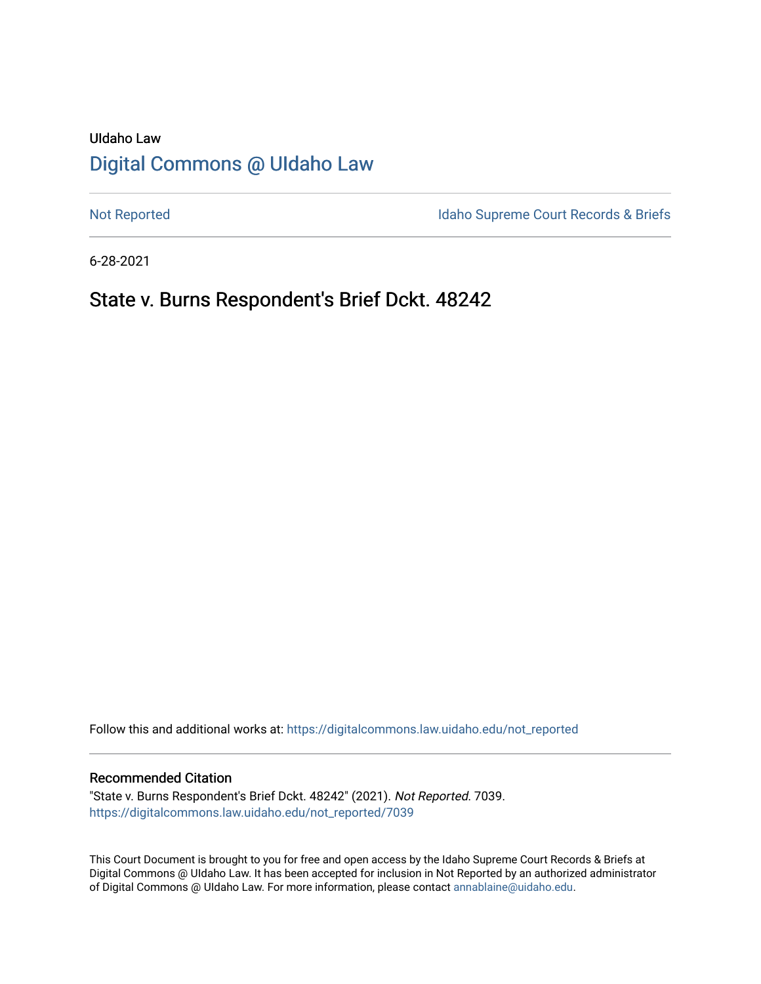# UIdaho Law [Digital Commons @ UIdaho Law](https://digitalcommons.law.uidaho.edu/)

[Not Reported](https://digitalcommons.law.uidaho.edu/not_reported) **Idaho Supreme Court Records & Briefs** 

6-28-2021

# State v. Burns Respondent's Brief Dckt. 48242

Follow this and additional works at: [https://digitalcommons.law.uidaho.edu/not\\_reported](https://digitalcommons.law.uidaho.edu/not_reported?utm_source=digitalcommons.law.uidaho.edu%2Fnot_reported%2F7039&utm_medium=PDF&utm_campaign=PDFCoverPages) 

#### Recommended Citation

"State v. Burns Respondent's Brief Dckt. 48242" (2021). Not Reported. 7039. [https://digitalcommons.law.uidaho.edu/not\\_reported/7039](https://digitalcommons.law.uidaho.edu/not_reported/7039?utm_source=digitalcommons.law.uidaho.edu%2Fnot_reported%2F7039&utm_medium=PDF&utm_campaign=PDFCoverPages)

This Court Document is brought to you for free and open access by the Idaho Supreme Court Records & Briefs at Digital Commons @ UIdaho Law. It has been accepted for inclusion in Not Reported by an authorized administrator of Digital Commons @ UIdaho Law. For more information, please contact [annablaine@uidaho.edu](mailto:annablaine@uidaho.edu).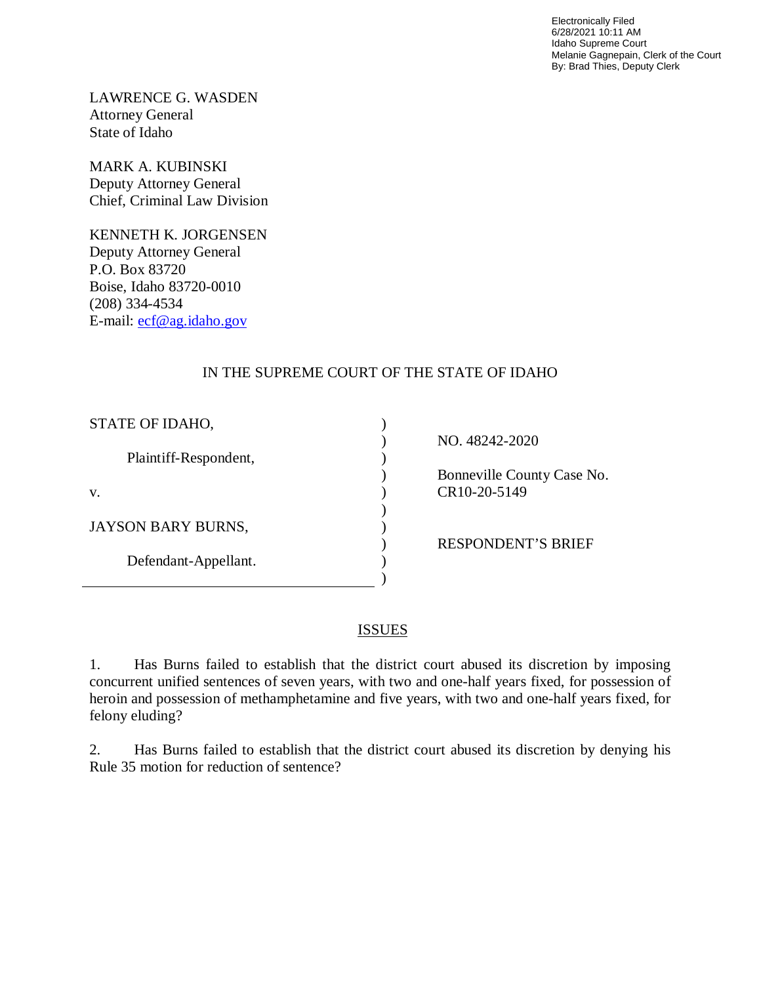Electronically Filed 6/28/2021 10:11 AM Idaho Supreme Court Melanie Gagnepain, Clerk of the Court By: Brad Thies, Deputy Clerk

LAWRENCE G. WASDEN Attorney General State of Idaho

MARK A. KUBINSKI Deputy Attorney General Chief, Criminal Law Division

KENNETH K. JORGENSEN Deputy Attorney General P.O. Box 83720 Boise, Idaho 83720-0010 (208) 334-4534 E-mail: [ecf@ag.idaho.gov](mailto:ecf@ag.idaho.gov) 

## IN THE SUPREME COURT OF THE STATE OF IDAHO

) ) ) ) ) ) ) ) ) )

| STATE OF IDAHO,           |
|---------------------------|
| Plaintiff-Respondent,     |
| V.                        |
| <b>JAYSON BARY BURNS,</b> |
| Defendant-Appellant.      |
|                           |

NO. 48242-2020

 Bonneville County Case No. CR10-20-5149

RESPONDENT'S BRIEF

## **ISSUES**

1. Has Burns failed to establish that the district court abused its discretion by imposing concurrent unified sentences of seven years, with two and one-half years fixed, for possession of heroin and possession of methamphetamine and five years, with two and one-half years fixed, for felony eluding?

2. Has Burns failed to establish that the district court abused its discretion by denying his Rule 35 motion for reduction of sentence?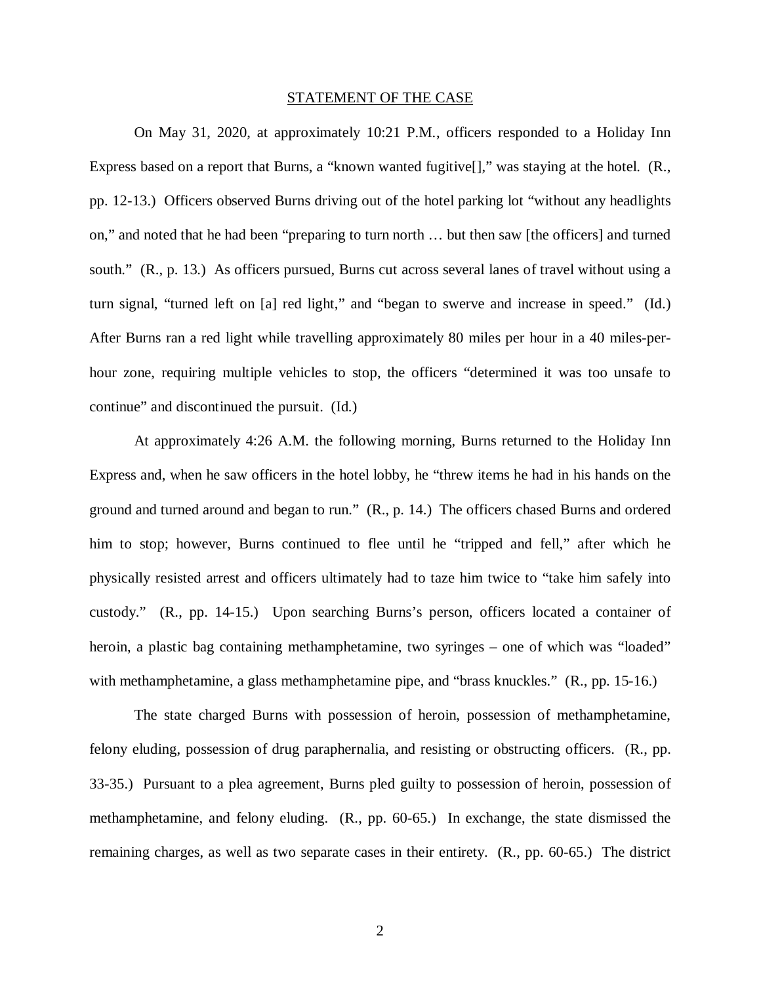#### STATEMENT OF THE CASE

On May 31, 2020, at approximately 10:21 P.M., officers responded to a Holiday Inn Express based on a report that Burns, a "known wanted fugitive<sup>[]</sup>," was staying at the hotel. (R., pp. 12-13.) Officers observed Burns driving out of the hotel parking lot "without any headlights on," and noted that he had been "preparing to turn north … but then saw [the officers] and turned south." (R., p. 13.) As officers pursued, Burns cut across several lanes of travel without using a turn signal, "turned left on [a] red light," and "began to swerve and increase in speed." (Id.) After Burns ran a red light while travelling approximately 80 miles per hour in a 40 miles-perhour zone, requiring multiple vehicles to stop, the officers "determined it was too unsafe to continue" and discontinued the pursuit. (Id.)

At approximately 4:26 A.M. the following morning, Burns returned to the Holiday Inn Express and, when he saw officers in the hotel lobby, he "threw items he had in his hands on the ground and turned around and began to run." (R., p. 14.) The officers chased Burns and ordered him to stop; however, Burns continued to flee until he "tripped and fell," after which he physically resisted arrest and officers ultimately had to taze him twice to "take him safely into custody." (R., pp. 14-15.) Upon searching Burns's person, officers located a container of heroin, a plastic bag containing methamphetamine, two syringes – one of which was "loaded" with methamphetamine, a glass methamphetamine pipe, and "brass knuckles." (R., pp. 15-16.)

The state charged Burns with possession of heroin, possession of methamphetamine, felony eluding, possession of drug paraphernalia, and resisting or obstructing officers. (R., pp. 33-35.) Pursuant to a plea agreement, Burns pled guilty to possession of heroin, possession of methamphetamine, and felony eluding. (R., pp. 60-65.) In exchange, the state dismissed the remaining charges, as well as two separate cases in their entirety. (R., pp. 60-65.) The district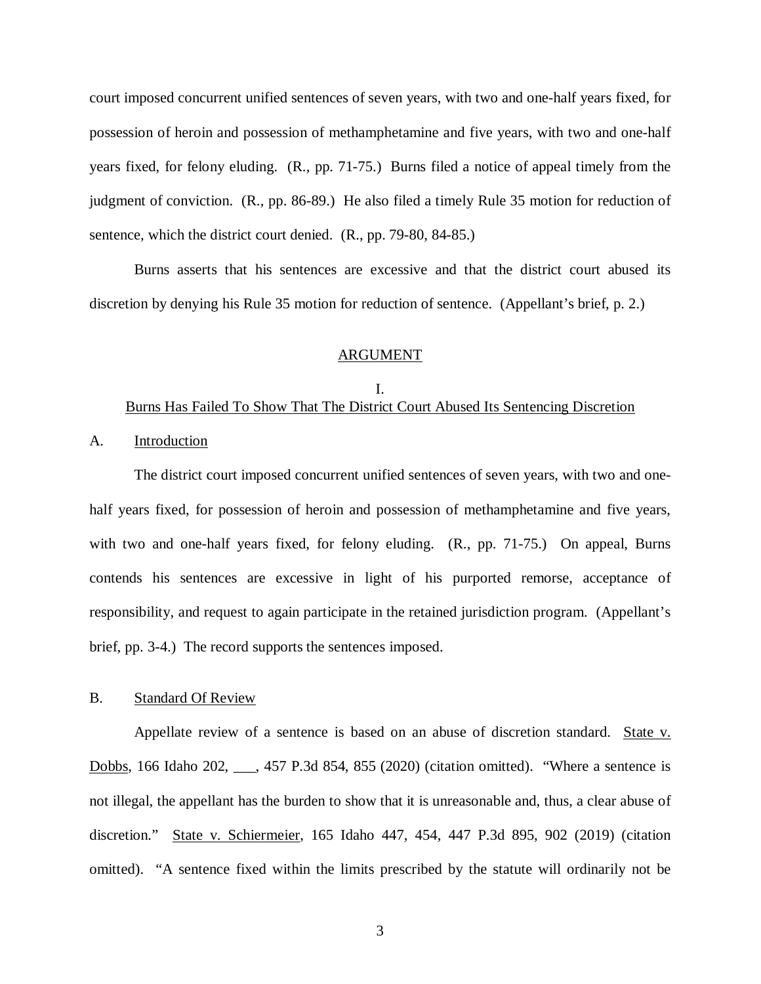court imposed concurrent unified sentences of seven years, with two and one-half years fixed, for possession of heroin and possession of methamphetamine and five years, with two and one-half years fixed, for felony eluding. (R., pp. 71-75.) Burns filed a notice of appeal timely from the judgment of conviction. (R., pp. 86-89.) He also filed a timely Rule 35 motion for reduction of sentence, which the district court denied. (R., pp. 79-80, 84-85.)

Burns asserts that his sentences are excessive and that the district court abused its discretion by denying his Rule 35 motion for reduction of sentence. (Appellant's brief, p. 2.)

#### ARGUMENT

#### I. Burns Has Failed To Show That The District Court Abused Its Sentencing Discretion

A. Introduction

The district court imposed concurrent unified sentences of seven years, with two and onehalf years fixed, for possession of heroin and possession of methamphetamine and five years, with two and one-half years fixed, for felony eluding. (R., pp. 71-75.) On appeal, Burns contends his sentences are excessive in light of his purported remorse, acceptance of responsibility, and request to again participate in the retained jurisdiction program. (Appellant's brief, pp. 3-4.) The record supports the sentences imposed.

#### B. Standard Of Review

Appellate review of a sentence is based on an abuse of discretion standard. State v. Dobbs, 166 Idaho 202, . 457 P.3d 854, 855 (2020) (citation omitted). "Where a sentence is not illegal, the appellant has the burden to show that it is unreasonable and, thus, a clear abuse of discretion." State v. Schiermeier, 165 Idaho 447, 454, 447 P.3d 895, 902 (2019) (citation omitted). "A sentence fixed within the limits prescribed by the statute will ordinarily not be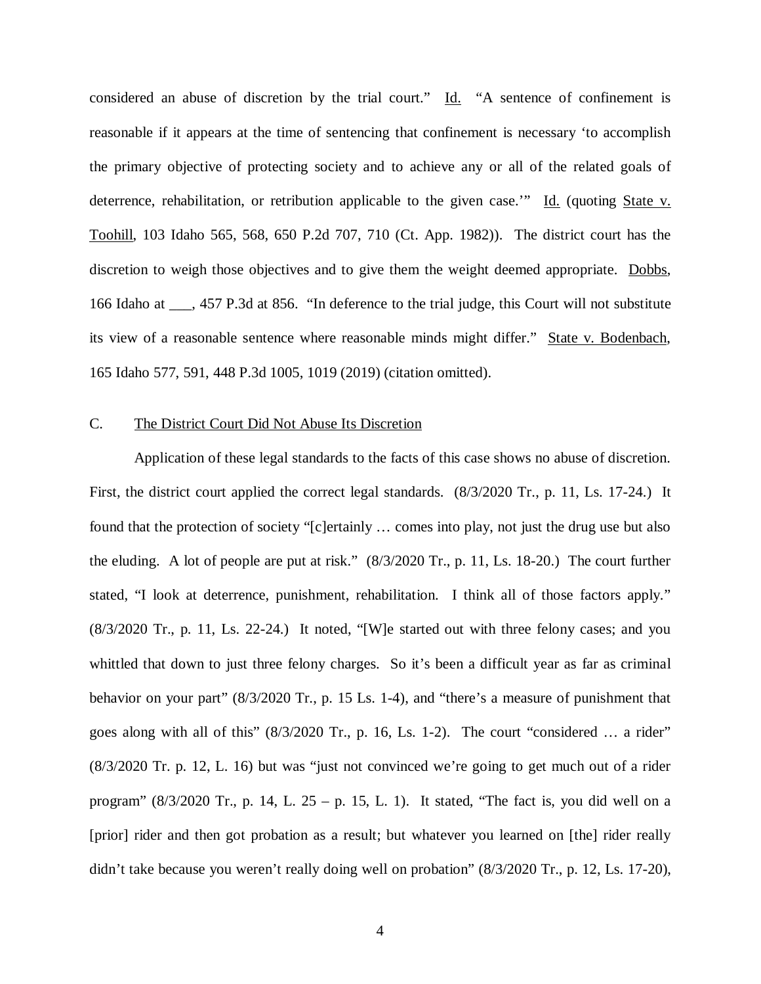considered an abuse of discretion by the trial court." Id. "A sentence of confinement is reasonable if it appears at the time of sentencing that confinement is necessary 'to accomplish the primary objective of protecting society and to achieve any or all of the related goals of deterrence, rehabilitation, or retribution applicable to the given case.'" Id. (quoting State v. Toohill, 103 Idaho 565, 568, 650 P.2d 707, 710 (Ct. App. 1982)). The district court has the discretion to weigh those objectives and to give them the weight deemed appropriate. Dobbs, 166 Idaho at \_\_\_, 457 P.3d at 856. "In deference to the trial judge, this Court will not substitute its view of a reasonable sentence where reasonable minds might differ." State v. Bodenbach, 165 Idaho 577, 591, 448 P.3d 1005, 1019 (2019) (citation omitted).

### C. The District Court Did Not Abuse Its Discretion

Application of these legal standards to the facts of this case shows no abuse of discretion. First, the district court applied the correct legal standards. (8/3/2020 Tr., p. 11, Ls. 17-24.) It found that the protection of society "[c]ertainly … comes into play, not just the drug use but also the eluding. A lot of people are put at risk." (8/3/2020 Tr., p. 11, Ls. 18-20.) The court further stated, "I look at deterrence, punishment, rehabilitation. I think all of those factors apply." (8/3/2020 Tr., p. 11, Ls. 22-24.) It noted, "[W]e started out with three felony cases; and you whittled that down to just three felony charges. So it's been a difficult year as far as criminal behavior on your part" (8/3/2020 Tr., p. 15 Ls. 1-4), and "there's a measure of punishment that goes along with all of this" (8/3/2020 Tr., p. 16, Ls. 1-2). The court "considered … a rider" (8/3/2020 Tr. p. 12, L. 16) but was "just not convinced we're going to get much out of a rider program"  $(8/3/2020 \text{ Tr.}, p. 14, L. 25 - p. 15, L. 1)$ . It stated, "The fact is, you did well on a [prior] rider and then got probation as a result; but whatever you learned on [the] rider really didn't take because you weren't really doing well on probation" (8/3/2020 Tr., p. 12, Ls. 17-20),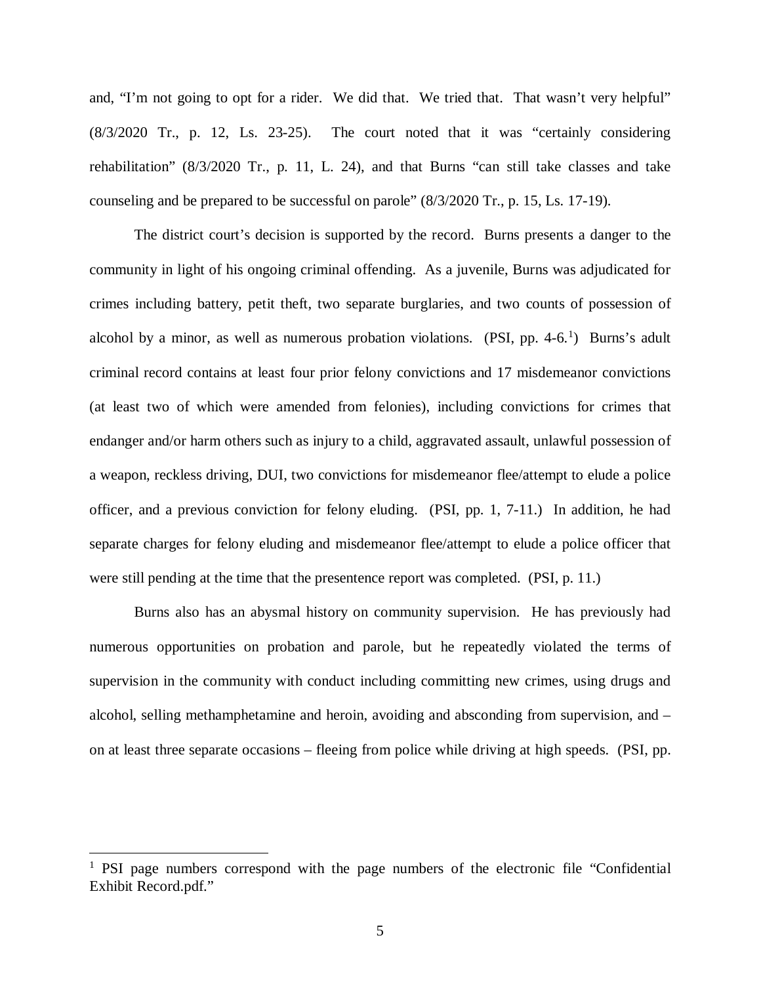and, "I'm not going to opt for a rider. We did that. We tried that. That wasn't very helpful" (8/3/2020 Tr., p. 12, Ls. 23-25). The court noted that it was "certainly considering rehabilitation" (8/3/2020 Tr., p. 11, L. 24), and that Burns "can still take classes and take counseling and be prepared to be successful on parole" (8/3/2020 Tr., p. 15, Ls. 17-19).

The district court's decision is supported by the record. Burns presents a danger to the community in light of his ongoing criminal offending. As a juvenile, Burns was adjudicated for crimes including battery, petit theft, two separate burglaries, and two counts of possession of alcohol by a minor, as well as numerous probation violations. (PSI, pp. 4-6. $^1$  $^1$ ) Burns's adult criminal record contains at least four prior felony convictions and 17 misdemeanor convictions (at least two of which were amended from felonies), including convictions for crimes that endanger and/or harm others such as injury to a child, aggravated assault, unlawful possession of a weapon, reckless driving, DUI, two convictions for misdemeanor flee/attempt to elude a police officer, and a previous conviction for felony eluding. (PSI, pp. 1, 7-11.) In addition, he had separate charges for felony eluding and misdemeanor flee/attempt to elude a police officer that were still pending at the time that the presentence report was completed. (PSI, p. 11.)

Burns also has an abysmal history on community supervision. He has previously had numerous opportunities on probation and parole, but he repeatedly violated the terms of supervision in the community with conduct including committing new crimes, using drugs and alcohol, selling methamphetamine and heroin, avoiding and absconding from supervision, and – on at least three separate occasions – fleeing from police while driving at high speeds. (PSI, pp.

 $\overline{a}$ 

<span id="page-5-0"></span><sup>&</sup>lt;sup>1</sup> PSI page numbers correspond with the page numbers of the electronic file "Confidential" Exhibit Record.pdf."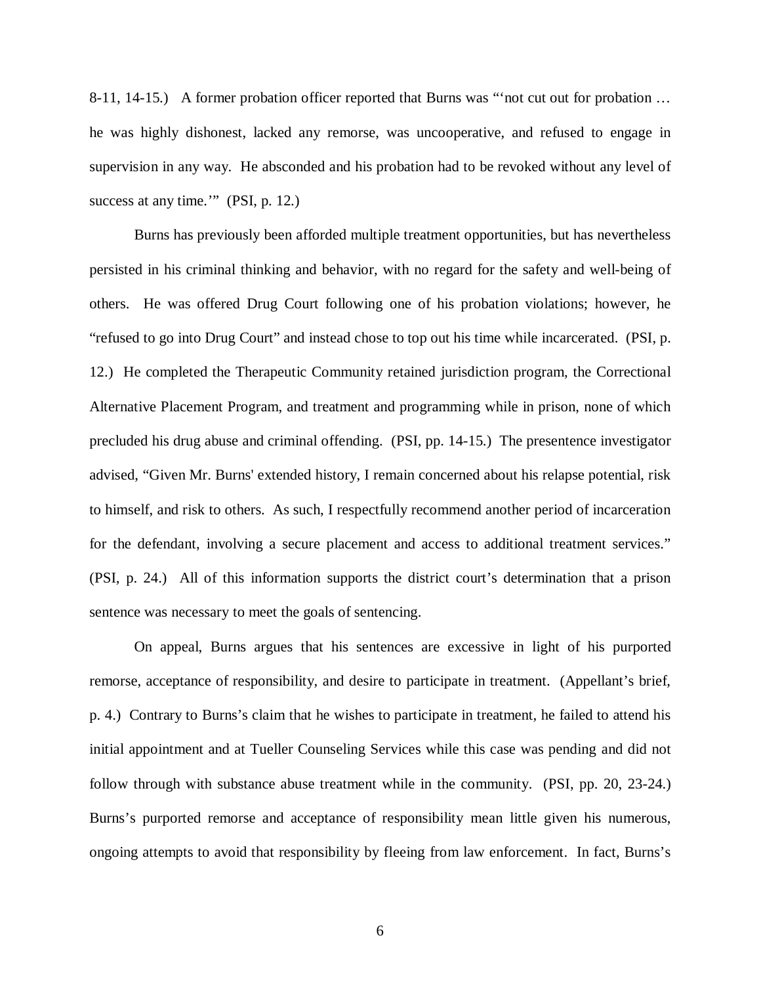8-11, 14-15.) A former probation officer reported that Burns was "'not cut out for probation … he was highly dishonest, lacked any remorse, was uncooperative, and refused to engage in supervision in any way. He absconded and his probation had to be revoked without any level of success at any time.'" (PSI, p. 12.)

Burns has previously been afforded multiple treatment opportunities, but has nevertheless persisted in his criminal thinking and behavior, with no regard for the safety and well-being of others. He was offered Drug Court following one of his probation violations; however, he "refused to go into Drug Court" and instead chose to top out his time while incarcerated. (PSI, p. 12.) He completed the Therapeutic Community retained jurisdiction program, the Correctional Alternative Placement Program, and treatment and programming while in prison, none of which precluded his drug abuse and criminal offending. (PSI, pp. 14-15.) The presentence investigator advised, "Given Mr. Burns' extended history, I remain concerned about his relapse potential, risk to himself, and risk to others. As such, I respectfully recommend another period of incarceration for the defendant, involving a secure placement and access to additional treatment services." (PSI, p. 24.) All of this information supports the district court's determination that a prison sentence was necessary to meet the goals of sentencing.

On appeal, Burns argues that his sentences are excessive in light of his purported remorse, acceptance of responsibility, and desire to participate in treatment. (Appellant's brief, p. 4.) Contrary to Burns's claim that he wishes to participate in treatment, he failed to attend his initial appointment and at Tueller Counseling Services while this case was pending and did not follow through with substance abuse treatment while in the community. (PSI, pp. 20, 23-24.) Burns's purported remorse and acceptance of responsibility mean little given his numerous, ongoing attempts to avoid that responsibility by fleeing from law enforcement. In fact, Burns's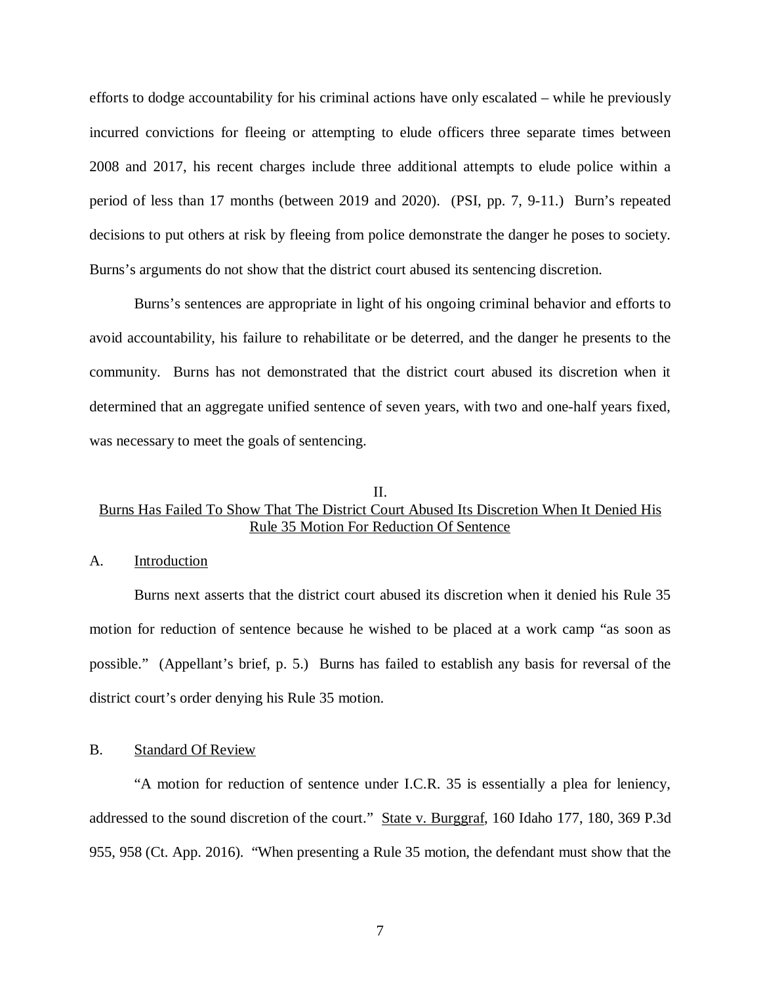efforts to dodge accountability for his criminal actions have only escalated – while he previously incurred convictions for fleeing or attempting to elude officers three separate times between 2008 and 2017, his recent charges include three additional attempts to elude police within a period of less than 17 months (between 2019 and 2020). (PSI, pp. 7, 9-11.) Burn's repeated decisions to put others at risk by fleeing from police demonstrate the danger he poses to society. Burns's arguments do not show that the district court abused its sentencing discretion.

Burns's sentences are appropriate in light of his ongoing criminal behavior and efforts to avoid accountability, his failure to rehabilitate or be deterred, and the danger he presents to the community. Burns has not demonstrated that the district court abused its discretion when it determined that an aggregate unified sentence of seven years, with two and one-half years fixed, was necessary to meet the goals of sentencing.

## II. Burns Has Failed To Show That The District Court Abused Its Discretion When It Denied His Rule 35 Motion For Reduction Of Sentence

### A. Introduction

Burns next asserts that the district court abused its discretion when it denied his Rule 35 motion for reduction of sentence because he wished to be placed at a work camp "as soon as possible." (Appellant's brief, p. 5.) Burns has failed to establish any basis for reversal of the district court's order denying his Rule 35 motion.

#### B. Standard Of Review

"A motion for reduction of sentence under I.C.R. 35 is essentially a plea for leniency, addressed to the sound discretion of the court." State v. Burggraf, 160 Idaho 177, 180, 369 P.3d 955, 958 (Ct. App. 2016). "When presenting a Rule 35 motion, the defendant must show that the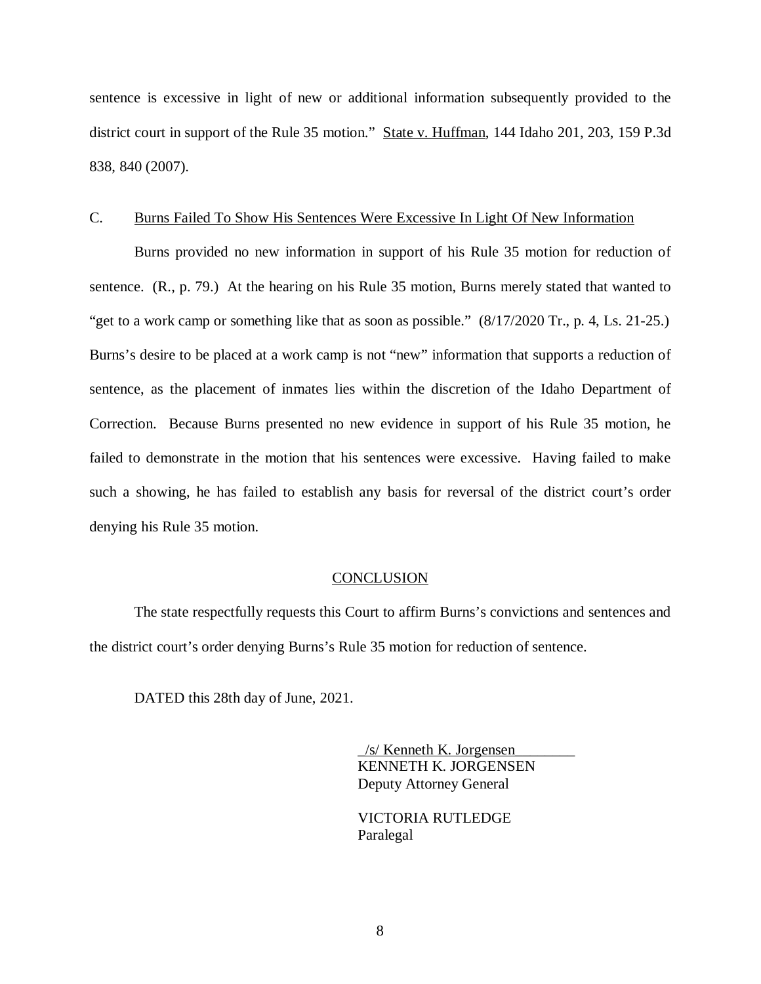sentence is excessive in light of new or additional information subsequently provided to the district court in support of the Rule 35 motion." State v. Huffman, 144 Idaho 201, 203, 159 P.3d 838, 840 (2007).

#### C. Burns Failed To Show His Sentences Were Excessive In Light Of New Information

Burns provided no new information in support of his Rule 35 motion for reduction of sentence. (R., p. 79.) At the hearing on his Rule 35 motion, Burns merely stated that wanted to "get to a work camp or something like that as soon as possible."  $(8/17/2020 \text{ Tr.}, p. 4, Ls. 21-25.)$ Burns's desire to be placed at a work camp is not "new" information that supports a reduction of sentence, as the placement of inmates lies within the discretion of the Idaho Department of Correction. Because Burns presented no new evidence in support of his Rule 35 motion, he failed to demonstrate in the motion that his sentences were excessive. Having failed to make such a showing, he has failed to establish any basis for reversal of the district court's order denying his Rule 35 motion.

#### **CONCLUSION**

The state respectfully requests this Court to affirm Burns's convictions and sentences and the district court's order denying Burns's Rule 35 motion for reduction of sentence.

DATED this 28th day of June, 2021.

 $\frac{1}{s}$  Kenneth K. Jorgensen KENNETH K. JORGENSEN Deputy Attorney General

 VICTORIA RUTLEDGE Paralegal